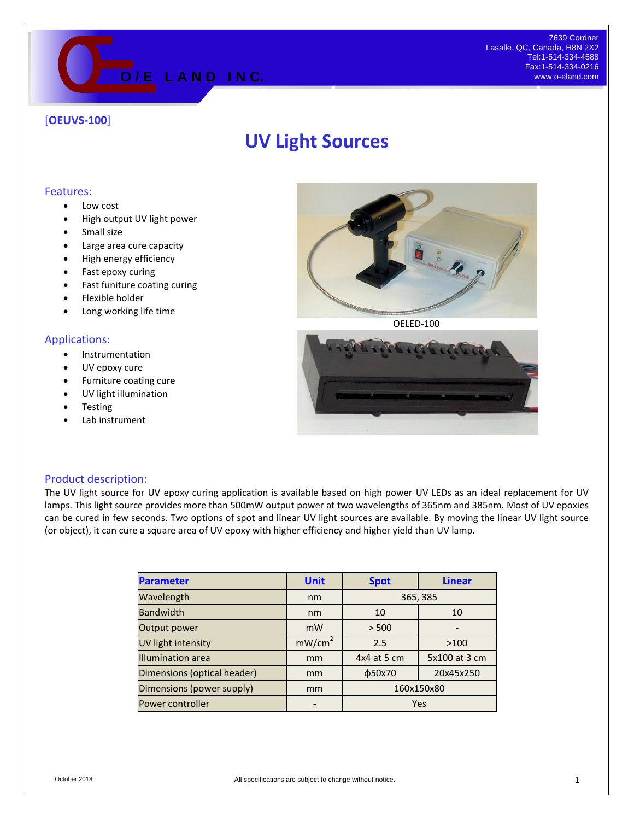

## [**OEUVS-100**]

# **UV Light Sources**

#### Features:

- Low cost
- High output UV light power
- Small size
- Large area cure capacity
- High energy efficiency
- Fast epoxy curing
- Fast funiture coating curing
- Flexible holder
- Long working life time

#### Applications:

- **•** Instrumentation
- UV epoxy cure
- Furniture coating cure
- UV light illumination
- **Testing**
- Lab instrument



OELED-100



### Product description:

The UV light source for UV epoxy curing application is available based on high power UV LEDs as an ideal replacement for UV lamps. This light source provides more than 500mW output power at two wavelengths of 365nm and 385nm. Most of UV epoxies can be cured in few seconds. Two options of spot and linear UV light sources are available. By moving the linear UV light source (or object), it can cure a square area of UV epoxy with higher efficiency and higher yield than UV lamp.

| <b>Parameter</b>            | <b>Unit</b>        | <b>Spot</b>  | <b>Linear</b> |
|-----------------------------|--------------------|--------------|---------------|
| Wavelength                  | nm                 | 365, 385     |               |
| <b>Bandwidth</b>            | nm                 | 10           | 10            |
| Output power                | mW                 | > 500        |               |
| UV light intensity          | mW/cm <sup>2</sup> | 2.5          | >100          |
| <b>Illumination</b> area    | mm                 | 4x4 at 5 cm  | 5x100 at 3 cm |
| Dimensions (optical header) | mm                 | $\phi$ 50x70 | 20x45x250     |
| Dimensions (power supply)   | mm                 | 160x150x80   |               |
| Power controller            |                    | Yes          |               |